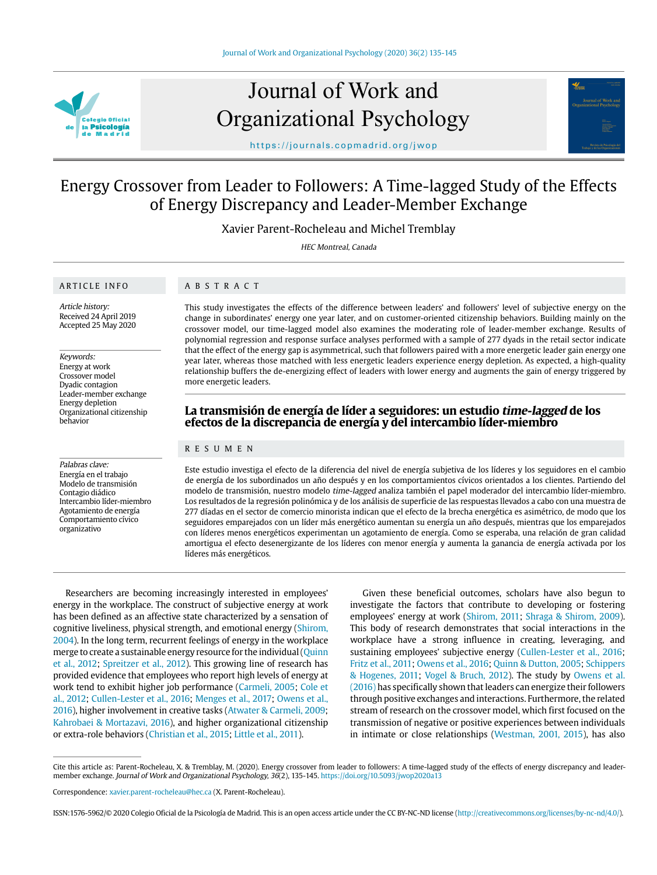

# Journal of Work and Organizational Psychology



https://journals.copmadrid.org/jwop

# Energy Crossover from Leader to Followers: A Time-lagged Study of the Effects of Energy Discrepancy and Leader-Member Exchange

Xavier Parent-Rocheleau and Michel Tremblay

HEC Montreal, Canada

#### ARTICLE INFO

## ABSTRACT

Article history: Received 24 April 2019 Accepted 25 May 2020

#### Keywords:

Energy at work Crossover model Dyadic contagion Leader-member exchange Energy depletion Organizational citizenship behavior

#### Palabras clave: Energía en el trabajo Modelo de transmisión Contagio diádico Intercambio líder-miembro Agotamiento de energía Comportamiento cívico organizativo

This study investigates the effects of the difference between leaders' and followers' level of subjective energy on the change in subordinates' energy one year later, and on customer-oriented citizenship behaviors. Building mainly on the crossover model, our time-lagged model also examines the moderating role of leader-member exchange. Results of polynomial regression and response surface analyses performed with a sample of 277 dyads in the retail sector indicate that the effect of the energy gap is asymmetrical, such that followers paired with a more energetic leader gain energy one year later, whereas those matched with less energetic leaders experience energy depletion. As expected, a high-quality relationship buffers the de-energizing effect of leaders with lower energy and augments the gain of energy triggered by more energetic leaders.

# **La transmisión de energía de líder a seguidores: un estudio time-lagged de los efectos de la discrepancia de energía y del intercambio líder-miembro**

#### RESUMEN

Este estudio investiga el efecto de la diferencia del nivel de energía subjetiva de los líderes y los seguidores en el cambio de energía de los subordinados un año después y en los comportamientos cívicos orientados a los clientes. Partiendo del modelo de transmisión, nuestro modelo time-lagged analiza también el papel moderador del intercambio líder-miembro. Los resultados de la regresión polinómica y de los análisis de superficie de las respuestas llevados a cabo con una muestra de 277 díadas en el sector de comercio minorista indican que el efecto de la brecha energética es asimétrico, de modo que los seguidores emparejados con un líder más energético aumentan su energía un año después, mientras que los emparejados con líderes menos energéticos experimentan un agotamiento de energía. Como se esperaba, una relación de gran calidad amortigua el efecto desenergizante de los líderes con menor energía y aumenta la ganancia de energía activada por los líderes más energéticos.

Researchers are becoming increasingly interested in employees' energy in the workplace. The construct of subjective energy at work has been defined as an affective state characterized by a sensation of cognitive liveliness, physical strength, and emotional energy (Shirom, 2004). In the long term, recurrent feelings of energy in the workplace merge to create a sustainable energy resource for the individual (Quinn et al., 2012; Spreitzer et al., 2012). This growing line of research has provided evidence that employees who report high levels of energy at work tend to exhibit higher job performance (Carmeli, 2005; Cole et al., 2012; Cullen-Lester et al., 2016; Menges et al., 2017; Owens et al., 2016), higher involvement in creative tasks (Atwater & Carmeli, 2009; Kahrobaei & Mortazavi, 2016), and higher organizational citizenship or extra-role behaviors (Christian et al., 2015; Little et al., 2011).

Given these beneficial outcomes, scholars have also begun to investigate the factors that contribute to developing or fostering employees' energy at work (Shirom, 2011; Shraga & Shirom, 2009). This body of research demonstrates that social interactions in the workplace have a strong influence in creating, leveraging, and sustaining employees' subjective energy (Cullen-Lester et al., 2016; Fritz et al., 2011; Owens et al., 2016; Quinn & Dutton, 2005; Schippers & Hogenes, 2011; Vogel & Bruch, 2012). The study by Owens et al. (2016) has specifically shown that leaders can energize their followers through positive exchanges and interactions. Furthermore, the related stream of research on the crossover model, which first focused on the transmission of negative or positive experiences between individuals in intimate or close relationships (Westman, 2001, 2015), has also

Cite this article as: Parent-Rocheleau, X. & Tremblay, M. (2020). Energy crossover from leader to followers: A time-lagged study of the effects of energy discrepancy and leadermember exchange. Journal of Work and Organizational Psychology, 36(2), 135-145. https://doi.org/10.5093/jwop2020a13

Correspondence: xavier.parent-rocheleau@hec.ca (X. Parent-Rocheleau).

ISSN:1576-5962/© 2020 Colegio Oficial de la Psicología de Madrid. This is an open access article under the CC BY-NC-ND license (http://creativecommons.org/licenses/by-nc-nd/4.0/).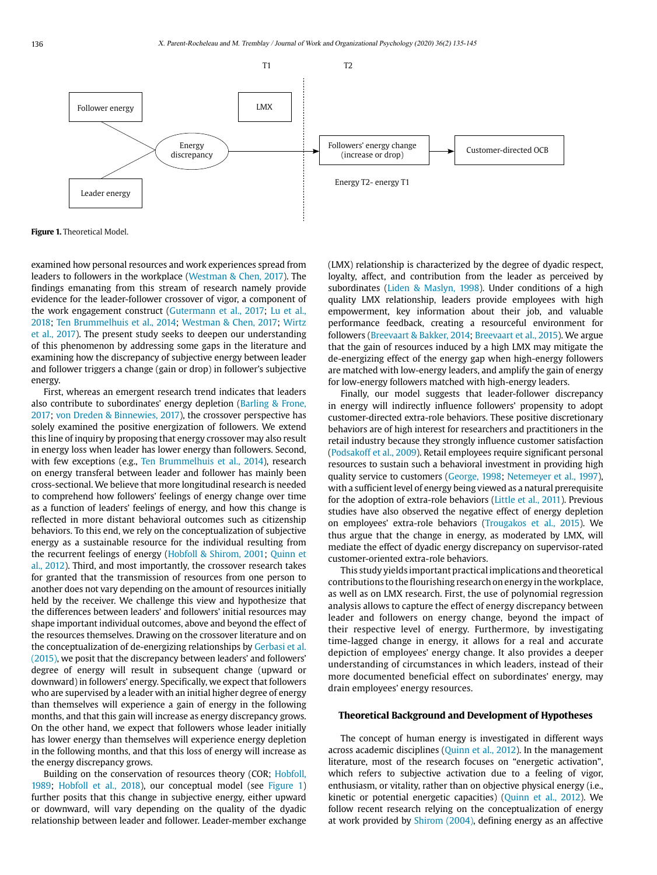

**Figure 1.** Theoretical Model.

examined how personal resources and work experiences spread from leaders to followers in the workplace (Westman & Chen, 2017). The findings emanating from this stream of research namely provide evidence for the leader-follower crossover of vigor, a component of the work engagement construct (Gutermann et al., 2017; Lu et al., 2018; Ten Brummelhuis et al., 2014; Westman & Chen, 2017; Wirtz et al., 2017). The present study seeks to deepen our understanding of this phenomenon by addressing some gaps in the literature and examining how the discrepancy of subjective energy between leader and follower triggers a change (gain or drop) in follower's subjective energy.

First, whereas an emergent research trend indicates that leaders also contribute to subordinates' energy depletion (Barling & Frone, 2017; von Dreden & Binnewies, 2017), the crossover perspective has solely examined the positive energization of followers. We extend this line of inquiry by proposing that energy crossover may also result in energy loss when leader has lower energy than followers. Second, with few exceptions (e.g., Ten Brummelhuis et al., 2014), research on energy transferal between leader and follower has mainly been cross-sectional. We believe that more longitudinal research is needed to comprehend how followers' feelings of energy change over time as a function of leaders' feelings of energy, and how this change is reflected in more distant behavioral outcomes such as citizenship behaviors. To this end, we rely on the conceptualization of subjective energy as a sustainable resource for the individual resulting from the recurrent feelings of energy (Hobfoll & Shirom, 2001; Quinn et al., 2012). Third, and most importantly, the crossover research takes for granted that the transmission of resources from one person to another does not vary depending on the amount of resources initially held by the receiver. We challenge this view and hypothesize that the differences between leaders' and followers' initial resources may shape important individual outcomes, above and beyond the effect of the resources themselves. Drawing on the crossover literature and on the conceptualization of de-energizing relationships by Gerbasi et al. (2015), we posit that the discrepancy between leaders' and followers' degree of energy will result in subsequent change (upward or downward) in followers' energy. Specifically, we expect that followers who are supervised by a leader with an initial higher degree of energy than themselves will experience a gain of energy in the following months, and that this gain will increase as energy discrepancy grows. On the other hand, we expect that followers whose leader initially has lower energy than themselves will experience energy depletion in the following months, and that this loss of energy will increase as the energy discrepancy grows.

Building on the conservation of resources theory (COR; Hobfoll, 1989; Hobfoll et al., 2018), our conceptual model (see Figure 1) further posits that this change in subjective energy, either upward or downward, will vary depending on the quality of the dyadic relationship between leader and follower. Leader-member exchange

(LMX) relationship is characterized by the degree of dyadic respect, loyalty, affect, and contribution from the leader as perceived by subordinates (Liden & Maslyn, 1998). Under conditions of a high quality LMX relationship, leaders provide employees with high empowerment, key information about their job, and valuable performance feedback, creating a resourceful environment for followers (Breevaart & Bakker, 2014; Breevaart et al., 2015). We argue that the gain of resources induced by a high LMX may mitigate the de-energizing effect of the energy gap when high-energy followers are matched with low-energy leaders, and amplify the gain of energy for low-energy followers matched with high-energy leaders.

Finally, our model suggests that leader-follower discrepancy in energy will indirectly influence followers' propensity to adopt customer-directed extra-role behaviors. These positive discretionary behaviors are of high interest for researchers and practitioners in the retail industry because they strongly influence customer satisfaction (Podsakoff et al., 2009). Retail employees require significant personal resources to sustain such a behavioral investment in providing high quality service to customers (George, 1998; Netemeyer et al., 1997), with a sufficient level of energy being viewed as a natural prerequisite for the adoption of extra-role behaviors (Little et al., 2011). Previous studies have also observed the negative effect of energy depletion on employees' extra-role behaviors (Trougakos et al., 2015). We thus argue that the change in energy, as moderated by LMX, will mediate the effect of dyadic energy discrepancy on supervisor-rated customer-oriented extra-role behaviors.

This study yields important practical implications and theoretical contributions to the flourishing research on energy in the workplace, as well as on LMX research. First, the use of polynomial regression analysis allows to capture the effect of energy discrepancy between leader and followers on energy change, beyond the impact of their respective level of energy. Furthermore, by investigating time-lagged change in energy, it allows for a real and accurate depiction of employees' energy change. It also provides a deeper understanding of circumstances in which leaders, instead of their more documented beneficial effect on subordinates' energy, may drain employees' energy resources.

#### **Theoretical Background and Development of Hypotheses**

The concept of human energy is investigated in different ways across academic disciplines (Quinn et al., 2012). In the management literature, most of the research focuses on "energetic activation", which refers to subjective activation due to a feeling of vigor, enthusiasm, or vitality, rather than on objective physical energy (i.e., kinetic or potential energetic capacities) (Quinn et al., 2012). We follow recent research relying on the conceptualization of energy at work provided by Shirom (2004), defining energy as an affective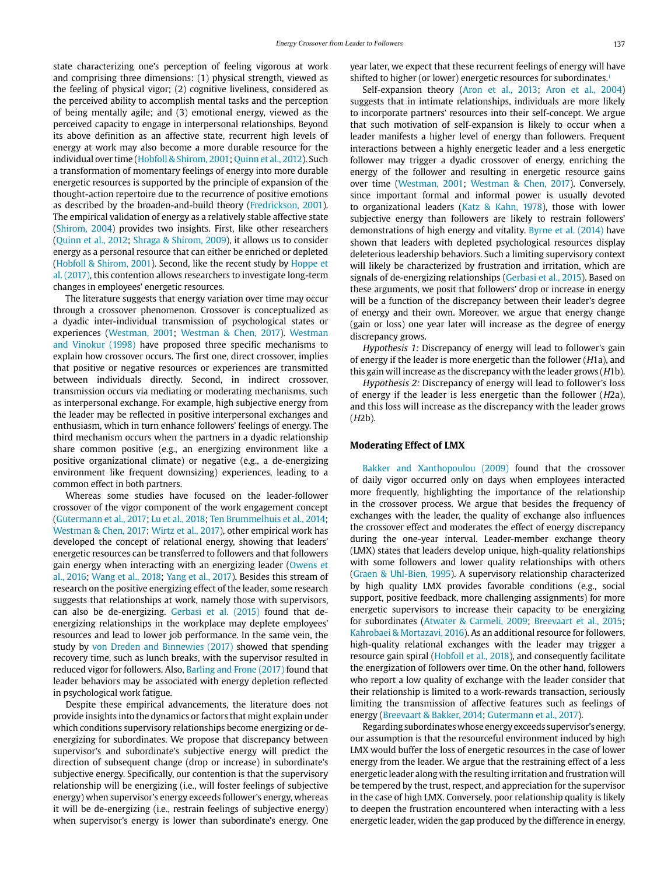state characterizing one's perception of feeling vigorous at work and comprising three dimensions: (1) physical strength, viewed as the feeling of physical vigor; (2) cognitive liveliness, considered as the perceived ability to accomplish mental tasks and the perception of being mentally agile; and (3) emotional energy, viewed as the perceived capacity to engage in interpersonal relationships. Beyond its above definition as an affective state, recurrent high levels of energy at work may also become a more durable resource for the individual over time (Hobfoll & Shirom, 2001; Quinn et al., 2012). Such a transformation of momentary feelings of energy into more durable energetic resources is supported by the principle of expansion of the thought-action repertoire due to the recurrence of positive emotions as described by the broaden-and-build theory (Fredrickson, 2001). The empirical validation of energy as a relatively stable affective state (Shirom, 2004) provides two insights. First, like other researchers (Quinn et al., 2012; Shraga & Shirom, 2009), it allows us to consider energy as a personal resource that can either be enriched or depleted (Hobfoll & Shirom, 2001). Second, like the recent study by Hoppe et al. (2017), this contention allows researchers to investigate long-term changes in employees' energetic resources.

The literature suggests that energy variation over time may occur through a crossover phenomenon. Crossover is conceptualized as a dyadic inter-individual transmission of psychological states or experiences (Westman, 2001; Westman & Chen, 2017). Westman and Vinokur (1998) have proposed three specific mechanisms to explain how crossover occurs. The first one, direct crossover, implies that positive or negative resources or experiences are transmitted between individuals directly. Second, in indirect crossover, transmission occurs via mediating or moderating mechanisms, such as interpersonal exchange. For example, high subjective energy from the leader may be reflected in positive interpersonal exchanges and enthusiasm, which in turn enhance followers' feelings of energy. The third mechanism occurs when the partners in a dyadic relationship share common positive (e.g., an energizing environment like a positive organizational climate) or negative (e.g., a de-energizing environment like frequent downsizing) experiences, leading to a common effect in both partners.

Whereas some studies have focused on the leader-follower crossover of the vigor component of the work engagement concept (Gutermann et al., 2017; Lu et al., 2018; Ten Brummelhuis et al., 2014; Westman & Chen, 2017; Wirtz et al., 2017), other empirical work has developed the concept of relational energy, showing that leaders' energetic resources can be transferred to followers and that followers gain energy when interacting with an energizing leader (Owens et al., 2016; Wang et al., 2018; Yang et al., 2017). Besides this stream of research on the positive energizing effect of the leader, some research suggests that relationships at work, namely those with supervisors, can also be de-energizing. Gerbasi et al. (2015) found that deenergizing relationships in the workplace may deplete employees' resources and lead to lower job performance. In the same vein, the study by von Dreden and Binnewies (2017) showed that spending recovery time, such as lunch breaks, with the supervisor resulted in reduced vigor for followers. Also, Barling and Frone (2017) found that leader behaviors may be associated with energy depletion reflected in psychological work fatigue.

Despite these empirical advancements, the literature does not provide insights into the dynamics or factors that might explain under which conditions supervisory relationships become energizing or deenergizing for subordinates. We propose that discrepancy between supervisor's and subordinate's subjective energy will predict the direction of subsequent change (drop or increase) in subordinate's subjective energy. Specifically, our contention is that the supervisory relationship will be energizing (i.e., will foster feelings of subjective energy) when supervisor's energy exceeds follower's energy, whereas it will be de-energizing (i.e., restrain feelings of subjective energy) when supervisor's energy is lower than subordinate's energy. One

year later, we expect that these recurrent feelings of energy will have shifted to higher (or lower) energetic resources for subordinates.<sup>1</sup>

Self-expansion theory (Aron et al., 2013; Aron et al., 2004) suggests that in intimate relationships, individuals are more likely to incorporate partners' resources into their self-concept. We argue that such motivation of self-expansion is likely to occur when a leader manifests a higher level of energy than followers. Frequent interactions between a highly energetic leader and a less energetic follower may trigger a dyadic crossover of energy, enriching the energy of the follower and resulting in energetic resource gains over time (Westman, 2001; Westman & Chen, 2017). Conversely, since important formal and informal power is usually devoted to organizational leaders (Katz & Kahn, 1978), those with lower subjective energy than followers are likely to restrain followers' demonstrations of high energy and vitality. Byrne et al. (2014) have shown that leaders with depleted psychological resources display deleterious leadership behaviors. Such a limiting supervisory context will likely be characterized by frustration and irritation, which are signals of de-energizing relationships (Gerbasi et al., 2015). Based on these arguments, we posit that followers' drop or increase in energy will be a function of the discrepancy between their leader's degree of energy and their own. Moreover, we argue that energy change (gain or loss) one year later will increase as the degree of energy discrepancy grows.

Hypothesis 1: Discrepancy of energy will lead to follower's gain of energy if the leader is more energetic than the follower (H1a), and this gain will increase as the discrepancy with the leader grows (H1b).

Hypothesis 2: Discrepancy of energy will lead to follower's loss of energy if the leader is less energetic than the follower (H2a), and this loss will increase as the discrepancy with the leader grows  $(H2b)$ .

# **Moderating Effect of LMX**

Bakker and Xanthopoulou (2009) found that the crossover of daily vigor occurred only on days when employees interacted more frequently, highlighting the importance of the relationship in the crossover process. We argue that besides the frequency of exchanges with the leader, the quality of exchange also influences the crossover effect and moderates the effect of energy discrepancy during the one-year interval. Leader-member exchange theory (LMX) states that leaders develop unique, high-quality relationships with some followers and lower quality relationships with others (Graen & Uhl-Bien, 1995). A supervisory relationship characterized by high quality LMX provides favorable conditions (e.g., social support, positive feedback, more challenging assignments) for more energetic supervisors to increase their capacity to be energizing for subordinates (Atwater & Carmeli, 2009; Breevaart et al., 2015; Kahrobaei & Mortazavi, 2016). As an additional resource for followers, high-quality relational exchanges with the leader may trigger a resource gain spiral (Hobfoll et al., 2018), and consequently facilitate the energization of followers over time. On the other hand, followers who report a low quality of exchange with the leader consider that their relationship is limited to a work-rewards transaction, seriously limiting the transmission of affective features such as feelings of energy (Breevaart & Bakker, 2014; Gutermann et al., 2017).

Regarding subordinates whose energy exceeds supervisor's energy, our assumption is that the resourceful environment induced by high LMX would buffer the loss of energetic resources in the case of lower energy from the leader. We argue that the restraining effect of a less energetic leader along with the resulting irritation and frustration will be tempered by the trust, respect, and appreciation for the supervisor in the case of high LMX. Conversely, poor relationship quality is likely to deepen the frustration encountered when interacting with a less energetic leader, widen the gap produced by the difference in energy,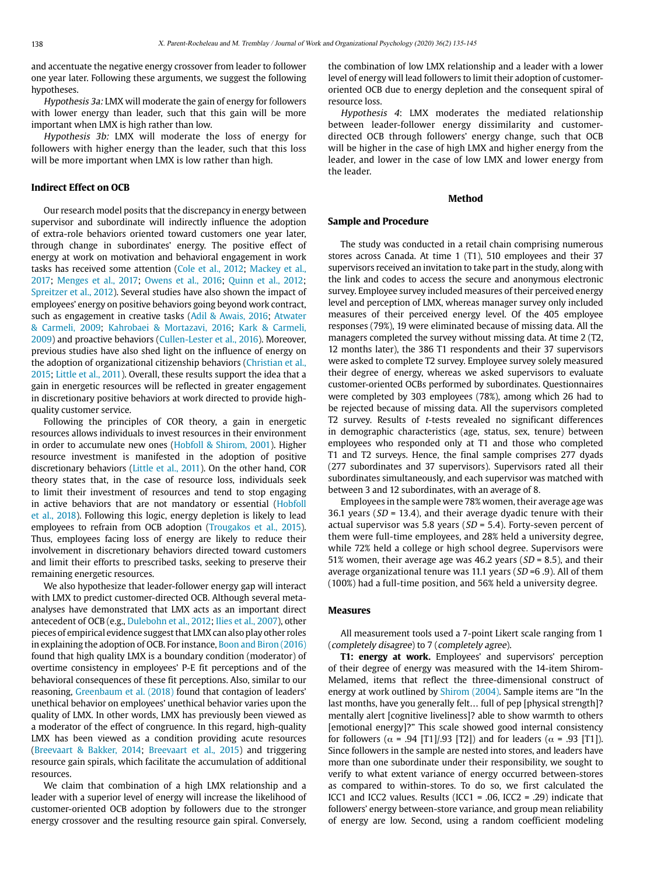and accentuate the negative energy crossover from leader to follower one year later. Following these arguments, we suggest the following hypotheses.

Hypothesis 3a: LMX will moderate the gain of energy for followers with lower energy than leader, such that this gain will be more important when LMX is high rather than low.

Hypothesis 3b: LMX will moderate the loss of energy for followers with higher energy than the leader, such that this loss will be more important when LMX is low rather than high.

#### **Indirect Effect on OCB**

Our research model posits that the discrepancy in energy between supervisor and subordinate will indirectly influence the adoption of extra-role behaviors oriented toward customers one year later, through change in subordinates' energy. The positive effect of energy at work on motivation and behavioral engagement in work tasks has received some attention (Cole et al., 2012; Mackey et al., 2017; Menges et al., 2017; Owens et al., 2016; Quinn et al., 2012; Spreitzer et al., 2012). Several studies have also shown the impact of employees' energy on positive behaviors going beyond work contract, such as engagement in creative tasks (Adil & Awais, 2016; Atwater & Carmeli, 2009; Kahrobaei & Mortazavi, 2016; Kark & Carmeli, 2009) and proactive behaviors (Cullen-Lester et al., 2016). Moreover, previous studies have also shed light on the influence of energy on the adoption of organizational citizenship behaviors (Christian et al., 2015; Little et al., 2011). Overall, these results support the idea that a gain in energetic resources will be reflected in greater engagement in discretionary positive behaviors at work directed to provide highquality customer service.

Following the principles of COR theory, a gain in energetic resources allows individuals to invest resources in their environment in order to accumulate new ones (Hobfoll & Shirom, 2001). Higher resource investment is manifested in the adoption of positive discretionary behaviors (Little et al., 2011). On the other hand, COR theory states that, in the case of resource loss, individuals seek to limit their investment of resources and tend to stop engaging in active behaviors that are not mandatory or essential (Hobfoll et al., 2018). Following this logic, energy depletion is likely to lead employees to refrain from OCB adoption (Trougakos et al., 2015). Thus, employees facing loss of energy are likely to reduce their involvement in discretionary behaviors directed toward customers and limit their efforts to prescribed tasks, seeking to preserve their remaining energetic resources.

We also hypothesize that leader-follower energy gap will interact with LMX to predict customer-directed OCB. Although several metaanalyses have demonstrated that LMX acts as an important direct antecedent of OCB (e.g., Dulebohn et al., 2012; Ilies et al., 2007), other pieces of empirical evidence suggest that LMX can also play other roles in explaining the adoption of OCB. For instance, Boon and Biron (2016) found that high quality LMX is a boundary condition (moderator) of overtime consistency in employees' P-E fit perceptions and of the behavioral consequences of these fit perceptions. Also, similar to our reasoning, Greenbaum et al. (2018) found that contagion of leaders' unethical behavior on employees' unethical behavior varies upon the quality of LMX. In other words, LMX has previously been viewed as a moderator of the effect of congruence. In this regard, high-quality LMX has been viewed as a condition providing acute resources (Breevaart & Bakker, 2014; Breevaart et al., 2015) and triggering resource gain spirals, which facilitate the accumulation of additional resources.

We claim that combination of a high LMX relationship and a leader with a superior level of energy will increase the likelihood of customer-oriented OCB adoption by followers due to the stronger energy crossover and the resulting resource gain spiral. Conversely, the combination of low LMX relationship and a leader with a lower level of energy will lead followers to limit their adoption of customeroriented OCB due to energy depletion and the consequent spiral of resource loss.

Hypothesis 4: LMX moderates the mediated relationship between leader-follower energy dissimilarity and customerdirected OCB through followers' energy change, such that OCB will be higher in the case of high LMX and higher energy from the leader, and lower in the case of low LMX and lower energy from the leader.

#### **Method**

## **Sample and Procedure**

The study was conducted in a retail chain comprising numerous stores across Canada. At time 1 (T1), 510 employees and their 37 supervisors received an invitation to take part in the study, along with the link and codes to access the secure and anonymous electronic survey. Employee survey included measures of their perceived energy level and perception of LMX, whereas manager survey only included measures of their perceived energy level. Of the 405 employee responses (79%), 19 were eliminated because of missing data. All the managers completed the survey without missing data. At time 2 (T2, 12 months later), the 386 T1 respondents and their 37 supervisors were asked to complete T2 survey. Employee survey solely measured their degree of energy, whereas we asked supervisors to evaluate customer-oriented OCBs performed by subordinates. Questionnaires were completed by 303 employees (78%), among which 26 had to be rejected because of missing data. All the supervisors completed T2 survey. Results of t-tests revealed no significant differences in demographic characteristics (age, status, sex, tenure) between employees who responded only at T1 and those who completed T1 and T2 surveys. Hence, the final sample comprises 277 dyads (277 subordinates and 37 supervisors). Supervisors rated all their subordinates simultaneously, and each supervisor was matched with between 3 and 12 subordinates, with an average of 8.

Employees in the sample were 78% women, their average age was 36.1 years ( $SD = 13.4$ ), and their average dyadic tenure with their actual supervisor was 5.8 years ( $SD = 5.4$ ). Forty-seven percent of them were full-time employees, and 28% held a university degree, while 72% held a college or high school degree. Supervisors were 51% women, their average age was 46.2 years ( $SD = 8.5$ ), and their average organizational tenure was 11.1 years ( $SD = 6.9$ ). All of them (100%) had a full-time position, and 56% held a university degree.

#### **Measures**

All measurement tools used a 7-point Likert scale ranging from 1 (completely disagree) to 7 (completely agree).

**T1: energy at work.** Employees' and supervisors' perception of their degree of energy was measured with the 14-item Shirom-Melamed, items that reflect the three-dimensional construct of energy at work outlined by Shirom (2004). Sample items are "In the last months, have you generally felt… full of pep [physical strength]? mentally alert [cognitive liveliness]? able to show warmth to others [emotional energy]?" This scale showed good internal consistency for followers ( $\alpha$  = .94 [T1]/.93 [T2]) and for leaders ( $\alpha$  = .93 [T1]). Since followers in the sample are nested into stores, and leaders have more than one subordinate under their responsibility, we sought to verify to what extent variance of energy occurred between-stores as compared to within-stores. To do so, we first calculated the ICC1 and ICC2 values. Results (ICC1 = .06, ICC2 = .29) indicate that followers' energy between-store variance, and group mean reliability of energy are low. Second, using a random coefficient modeling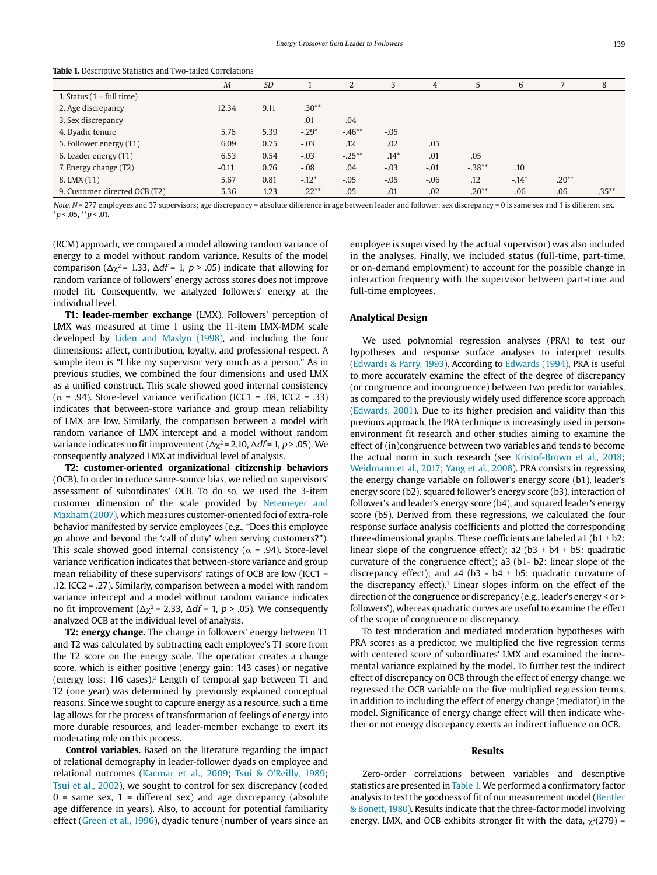|                               | $\overline{M}$ | <b>SD</b> |          | ∠         |        | $\overline{4}$ | 5        | 6       |         | 8        |
|-------------------------------|----------------|-----------|----------|-----------|--------|----------------|----------|---------|---------|----------|
| 1. Status $(1 = full time)$   |                |           |          |           |        |                |          |         |         |          |
| 2. Age discrepancy            | 12.34          | 9.11      | $.30**$  |           |        |                |          |         |         |          |
| 3. Sex discrepancy            |                |           | .01      | .04       |        |                |          |         |         |          |
| 4. Dyadic tenure              | 5.76           | 5.39      | $-.29*$  | $-.46**$  | $-.05$ |                |          |         |         |          |
| 5. Follower energy (T1)       | 6.09           | 0.75      | $-.03$   | .12       | .02    | .05            |          |         |         |          |
| 6. Leader energy (T1)         | 6.53           | 0.54      | $-.03$   | $-.25***$ | $.14*$ | .01            | .05      |         |         |          |
| 7. Energy change (T2)         | $-0.11$        | 0.76      | $-.08$   | .04       | $-.03$ | $-.01$         | $-.38**$ | .10     |         |          |
| 8. LMX (T1)                   | 5.67           | 0.81      | $-.12*$  | $-.05$    | $-.05$ | $-0.06$        | .12      | $-.14*$ | $.20**$ |          |
| 9. Customer-directed OCB (T2) | 5.36           | 1.23      | $-.22**$ | $-.05$    | $-.01$ | .02            | $.20**$  | $-.06$  | .06     | $.35***$ |

**Table 1.** Descriptive Statistics and Two-tailed Correlations

Note. N = 277 employees and 37 supervisors; age discrepancy = absolute difference in age between leader and follower; sex discrepancy = 0 is same sex and 1 is different sex.  $**p* < .05, ***p* < .01.$ 

(RCM) approach, we compared a model allowing random variance of energy to a model without random variance. Results of the model comparison ( $\Delta \chi^2$  = 1.33,  $\Delta df$  = 1, p > .05) indicate that allowing for random variance of followers' energy across stores does not improve model fit. Consequently, we analyzed followers' energy at the individual level.

**T1: leader-member exchange (**LMX). Followers' perception of LMX was measured at time 1 using the 11-item LMX-MDM scale developed by Liden and Maslyn (1998), and including the four dimensions: affect, contribution, loyalty, and professional respect. A sample item is "I like my supervisor very much as a person." As in previous studies, we combined the four dimensions and used LMX as a unified construct. This scale showed good internal consistency ( $\alpha$  = .94). Store-level variance verification (ICC1 = .08, ICC2 = .33) indicates that between-store variance and group mean reliability of LMX are low. Similarly, the comparison between a model with random variance of LMX intercept and a model without random variance indicates no fit improvement ( $Δχ² = 2.10, Δdf = 1, p > .05$ ). We consequently analyzed LMX at individual level of analysis.

**T2: customer-oriented organizational citizenship behaviors**  (OCB). In order to reduce same-source bias, we relied on supervisors' assessment of subordinates' OCB. To do so, we used the 3-item customer dimension of the scale provided by Netemeyer and Maxham (2007), which measures customer-oriented foci of extra-role behavior manifested by service employees (e.g., "Does this employee go above and beyond the 'call of duty' when serving customers?"). This scale showed good internal consistency ( $\alpha$  = .94). Store-level variance verification indicates that between-store variance and group mean reliability of these supervisors' ratings of OCB are low (ICC1 = .12, ICC2 = .27). Similarly, comparison between a model with random variance intercept and a model without random variance indicates no fit improvement ( $Δχ² = 2.33$ ,  $Δdf = 1$ ,  $p > .05$ ). We consequently analyzed OCB at the individual level of analysis.

**T2: energy change.** The change in followers' energy between T1 and T2 was calculated by subtracting each employee's T1 score from the T2 score on the energy scale. The operation creates a change score, which is either positive (energy gain: 143 cases) or negative (energy loss: 116 cases).<sup>2</sup> Length of temporal gap between T1 and T2 (one year) was determined by previously explained conceptual reasons. Since we sought to capture energy as a resource, such a time lag allows for the process of transformation of feelings of energy into more durable resources, and leader-member exchange to exert its moderating role on this process.

**Control variables.** Based on the literature regarding the impact of relational demography in leader-follower dyads on employee and relational outcomes (Kacmar et al., 2009; Tsui & O'Reilly, 1989; Tsui et al., 2002), we sought to control for sex discrepancy (coded  $0 =$  same sex,  $1 =$  different sex) and age discrepancy (absolute age difference in years). Also, to account for potential familiarity effect (Green et al., 1996), dyadic tenure (number of years since an employee is supervised by the actual supervisor) was also included in the analyses. Finally, we included status (full-time, part-time, or on-demand employment) to account for the possible change in interaction frequency with the supervisor between part-time and full-time employees.

#### **Analytical Design**

We used polynomial regression analyses (PRA) to test our hypotheses and response surface analyses to interpret results (Edwards & Parry, 1993). According to Edwards (1994), PRA is useful to more accurately examine the effect of the degree of discrepancy (or congruence and incongruence) between two predictor variables, as compared to the previously widely used difference score approach (Edwards, 2001). Due to its higher precision and validity than this previous approach, the PRA technique is increasingly used in personenvironment fit research and other studies aiming to examine the effect of (in)congruence between two variables and tends to become the actual norm in such research (see Kristof-Brown et al., 2018; Weidmann et al., 2017; Yang et al., 2008). PRA consists in regressing the energy change variable on follower's energy score (b1), leader's energy score (b2), squared follower's energy score (b3), interaction of follower's and leader's energy score (b4), and squared leader's energy score (b5). Derived from these regressions, we calculated the four response surface analysis coefficients and plotted the corresponding three-dimensional graphs. These coefficients are labeled a1 (b1 + b2: linear slope of the congruence effect);  $a2 (b3 + b4 + b5)$ : quadratic curvature of the congruence effect); a3 (b1- b2: linear slope of the discrepancy effect); and a4 (b3 - b4 + b5: quadratic curvature of the discrepancy effect).<sup>3</sup> Linear slopes inform on the effect of the direction of the congruence or discrepancy (e.g., leader's energy < or > followers'), whereas quadratic curves are useful to examine the effect of the scope of congruence or discrepancy.

To test moderation and mediated moderation hypotheses with PRA scores as a predictor, we multiplied the five regression terms with centered score of subordinates' LMX and examined the incremental variance explained by the model. To further test the indirect effect of discrepancy on OCB through the effect of energy change, we regressed the OCB variable on the five multiplied regression terms, in addition to including the effect of energy change (mediator) in the model. Significance of energy change effect will then indicate whether or not energy discrepancy exerts an indirect influence on OCB.

#### **Results**

Zero-order correlations between variables and descriptive statistics are presented in Table 1. We performed a confirmatory factor analysis to test the goodness of fit of our measurement model (Bentler & Bonett, 1980). Results indicate that the three-factor model involving energy, LMX, and OCB exhibits stronger fit with the data,  $\chi^2(279)$  =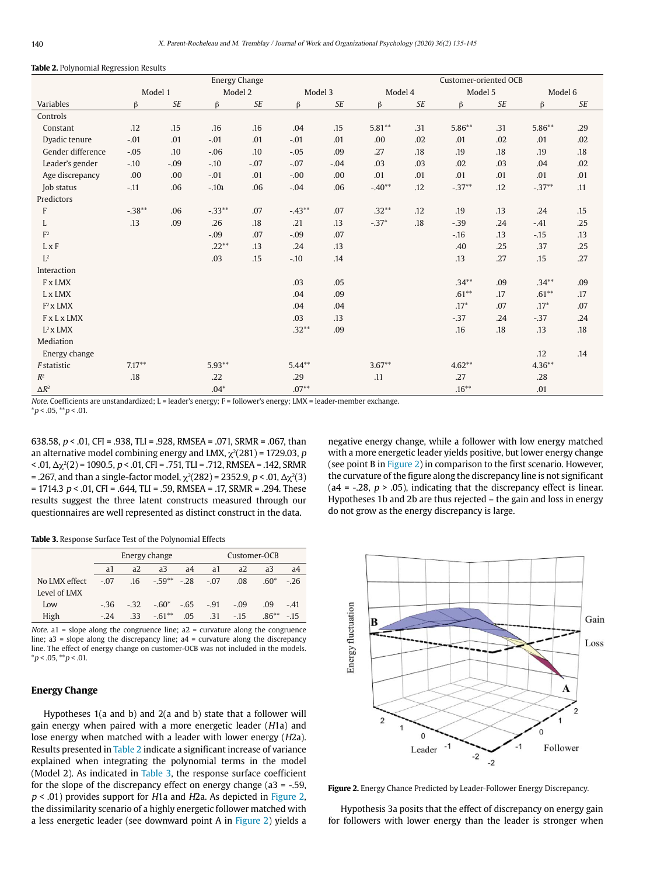#### **Table 2.** Polynomial Regression Results

| ັ                  | <b>Energy Change</b> |        |          |           |           |           | Customer-oriented OCB |     |          |        |          |     |  |
|--------------------|----------------------|--------|----------|-----------|-----------|-----------|-----------------------|-----|----------|--------|----------|-----|--|
|                    | Model 1              |        | Model 2  |           | Model 3   |           | Model 4               |     | Model 5  |        | Model 6  |     |  |
| Variables          | β                    | $S\!E$ | β        | <b>SE</b> | $\beta$   | <b>SE</b> | β                     | SE  | β        | $S\!E$ | $\beta$  | SE  |  |
| Controls           |                      |        |          |           |           |           |                       |     |          |        |          |     |  |
| Constant           | .12                  | .15    | .16      | .16       | .04       | .15       | $5.81**$              | .31 | $5.86**$ | .31    | $5.86**$ | .29 |  |
| Dyadic tenure      | $-.01$               | .01    | $-.01$   | .01       | $-.01$    | .01       | .00.                  | .02 | .01      | .02    | .01      | .02 |  |
| Gender difference  | $-.05$               | .10    | $-0.06$  | .10       | $-.05$    | .09       | .27                   | .18 | .19      | .18    | .19      | .18 |  |
| Leader's gender    | $-10$                | $-.09$ | $-.10$   | $-.07$    | $-.07$    | $-.04$    | .03                   | .03 | .02      | .03    | .04      | .02 |  |
| Age discrepancy    | .00                  | .00    | $-.01$   | .01       | $-.00$    | .00       | .01                   | .01 | .01      | .01    | .01      | .01 |  |
| Job status         | $-.11$               | .06    | $-.101$  | .06       | $-.04$    | .06       | $-.40**$              | .12 | $-.37**$ | .12    | $-.37**$ | .11 |  |
| Predictors         |                      |        |          |           |           |           |                       |     |          |        |          |     |  |
| F                  | $-.38***$            | .06    | $-.33**$ | .07       | $-.43**$  | .07       | $.32**$               | .12 | .19      | .13    | .24      | .15 |  |
| L                  | .13                  | .09    | .26      | .18       | .21       | .13       | $-.37*$               | .18 | $-.39$   | .24    | $-.41$   | .25 |  |
| F <sup>2</sup>     |                      |        | $-.09$   | .07       | $-.09$    | .07       |                       |     | $-16$    | .13    | $-15$    | .13 |  |
| $L \times F$       |                      |        | $.22**$  | .13       | .24       | .13       |                       |     | .40      | .25    | .37      | .25 |  |
| $L^2$              |                      |        | .03      | .15       | $-.10$    | .14       |                       |     | .13      | .27    | .15      | .27 |  |
| Interaction        |                      |        |          |           |           |           |                       |     |          |        |          |     |  |
| F x LMX            |                      |        |          |           | .03       | .05       |                       |     | $.34***$ | .09    | $.34***$ | .09 |  |
| L x LMX            |                      |        |          |           | .04       | .09       |                       |     | $.61***$ | .17    | $.61**$  | .17 |  |
| $F^2$ x LMX        |                      |        |          |           | .04       | .04       |                       |     | $.17*$   | .07    | $.17*$   | .07 |  |
| <b>FxLxLMX</b>     |                      |        |          |           | .03       | .13       |                       |     | $-37$    | .24    | $-0.37$  | .24 |  |
| $L^2$ x LMX        |                      |        |          |           | $.32**$   | .09       |                       |     | .16      | .18    | .13      | .18 |  |
| Mediation          |                      |        |          |           |           |           |                       |     |          |        |          |     |  |
| Energy change      |                      |        |          |           |           |           |                       |     |          |        | .12      | .14 |  |
| <i>F</i> statistic | $7.17**$             |        | $5.93**$ |           | $5.44***$ |           | $3.67***$             |     | $4.62**$ |        | $4.36**$ |     |  |
| $R^2$              | .18                  |        | .22      |           | .29       |           | .11                   |     | .27      |        | .28      |     |  |
| $\Delta R^2$       |                      |        | $.04*$   |           | $.07**$   |           |                       |     | $.16***$ |        | .01      |     |  |

Note. Coefficients are unstandardized; L = leader's energy; F = follower's energy; LMX = leader-member exchange.  $*p < .05, **p < .01.$ 

638.58,  $p < .01$ , CFI = .938, TLI = .928, RMSEA = .071, SRMR = .067, than an alternative model combining energy and LMX,  $\chi^2(281)$  = 1729.03,  $p$  $<$  .01, Δ $\chi^2(2)$  = 1090.5,  $p$  < .01, CFI = .751, TLI = .712, RMSEA = .142, SRMR = .267, and than a single-factor model,  $\chi^2(282)$  = 2352.9, p < .01, Δ $\chi^2(3)$ = 1714.3  $p < .01$ , CFI = .644, TLI = .59, RMSEA = .17, SRMR = .294. These results suggest the three latent constructs measured through our questionnaires are well represented as distinct construct in the data.

negative energy change, while a follower with low energy matched with a more energetic leader yields positive, but lower energy change (see point B in Figure 2) in comparison to the first scenario. However, the curvature of the figure along the discrepancy line is not significant (a4 =  $-0.28$ ,  $p > 0.05$ ), indicating that the discrepancy effect is linear. Hypotheses 1b and 2b are thus rejected – the gain and loss in energy do not grow as the energy discrepancy is large.

**Table 3.** Response Surface Test of the Polynomial Effects

|               |                |       | Energy change    | Customer-OCB   |                |        |         |        |  |
|---------------|----------------|-------|------------------|----------------|----------------|--------|---------|--------|--|
|               | a <sub>1</sub> | a2    | a3               | a <sub>4</sub> | a <sub>1</sub> | a2     | a3      | a4     |  |
| No LMX effect | $-.07$         | .16   | $-59^{**}$ $-28$ |                | $-.07$         | .08    | $.60*$  | $-.26$ |  |
| Level of LMX  |                |       |                  |                |                |        |         |        |  |
| Low           | $-36$          | $-32$ | $-.60^*$ $-.65$  |                | $-.91$         | $-.09$ | .09     | $-.41$ |  |
| High          | $-24$          | .33   | $-61**$          | .05            | .31            | $-.15$ | $.86**$ | $-15$  |  |

Note.  $a1$  = slope along the congruence line;  $a2$  = curvature along the congruence line; a3 = slope along the discrepancy line; a4 = curvature along the discrepancy line. The effect of energy change on customer-OCB was not included in the models.  $*p < .05, **p < .01.$ 

#### **Energy Change**

Hypotheses 1(a and b) and 2(a and b) state that a follower will gain energy when paired with a more energetic leader (H1a) and lose energy when matched with a leader with lower energy (H2a). Results presented in Table 2 indicate a significant increase of variance explained when integrating the polynomial terms in the model (Model 2). As indicated in Table 3, the response surface coefficient for the slope of the discrepancy effect on energy change  $(a3 = -0.59, a$  $p < .01$ ) provides support for H1a and H2a. As depicted in Figure 2, the dissimilarity scenario of a highly energetic follower matched with a less energetic leader (see downward point A in Figure 2) yields a



**Figure 2.** Energy Chance Predicted by Leader-Follower Energy Discrepancy.

Hypothesis 3a posits that the effect of discrepancy on energy gain for followers with lower energy than the leader is stronger when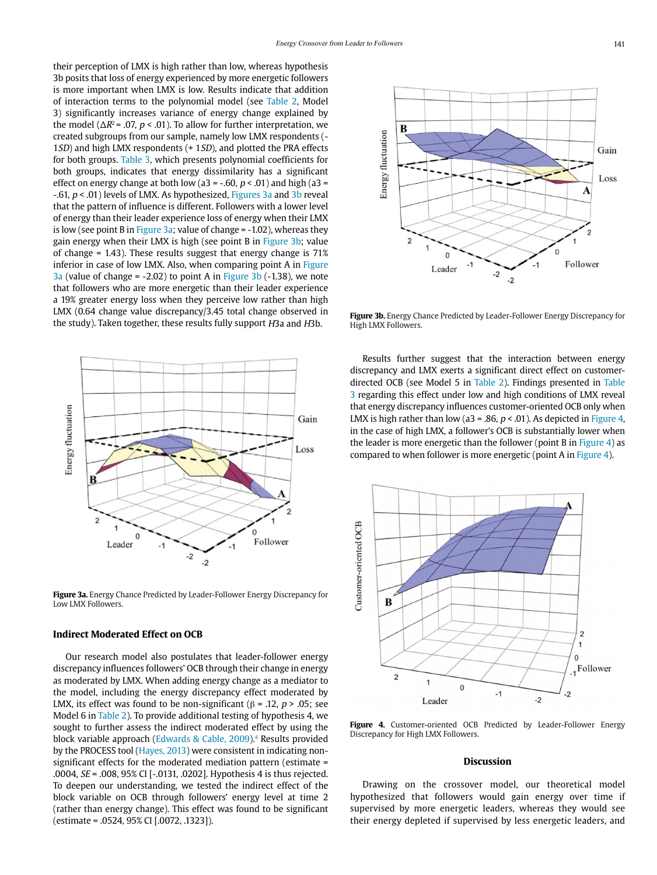their perception of LMX is high rather than low, whereas hypothesis 3b posits that loss of energy experienced by more energetic followers is more important when LMX is low. Results indicate that addition of interaction terms to the polynomial model (see Table 2, Model 3) significantly increases variance of energy change explained by the model ( $\Delta R^2$  = .07, p < .01). To allow for further interpretation, we created subgroups from our sample, namely low LMX respondents (- 1SD) and high LMX respondents (+ 1SD), and plotted the PRA effects for both groups. Table 3, which presents polynomial coefficients for both groups, indicates that energy dissimilarity has a significant effect on energy change at both low (a3 = -.60,  $p < .01$ ) and high (a3 =  $-0.61$ ,  $p < 0.01$ ) levels of LMX. As hypothesized, Figures 3a and 3b reveal that the pattern of influence is different. Followers with a lower level of energy than their leader experience loss of energy when their LMX is low (see point B in Figure 3a; value of change  $= -1.02$ ), whereas they gain energy when their LMX is high (see point B in Figure 3b; value of change = 1.43). These results suggest that energy change is 71% inferior in case of low LMX. Also, when comparing point A in Figure  $3a$  (value of change = -2.02) to point A in Figure  $3b$  (-1.38), we note that followers who are more energetic than their leader experience a 19% greater energy loss when they perceive low rather than high LMX (0.64 change value discrepancy/3.45 total change observed in the study). Taken together, these results fully support H3a and H3b.



**Figure 3a.** Energy Chance Predicted by Leader-Follower Energy Discrepancy for Low LMX Followers.

#### **Indirect Moderated Effect on OCB**

Our research model also postulates that leader-follower energy discrepancy influences followers' OCB through their change in energy as moderated by LMX. When adding energy change as a mediator to the model, including the energy discrepancy effect moderated by LMX, its effect was found to be non-significant ( $\beta$  = .12,  $p$  > .05; see Model 6 in Table 2). To provide additional testing of hypothesis 4, we sought to further assess the indirect moderated effect by using the block variable approach (Edwards & Cable, 2009).4 Results provided by the PROCESS tool (Hayes, 2013) were consistent in indicating nonsignificant effects for the moderated mediation pattern (estimate = .0004, SE = .008, 95% CI [-.0131, .0202]. Hypothesis 4 is thus rejected. To deepen our understanding, we tested the indirect effect of the block variable on OCB through followers' energy level at time 2 (rather than energy change). This effect was found to be significant (estimate = .0524, 95% CI [.0072, .1323]).



**Figure 3b.** Energy Chance Predicted by Leader-Follower Energy Discrepancy for High LMX Followers.

Results further suggest that the interaction between energy discrepancy and LMX exerts a significant direct effect on customerdirected OCB (see Model 5 in Table 2). Findings presented in Table 3 regarding this effect under low and high conditions of LMX reveal that energy discrepancy influences customer-oriented OCB only when LMX is high rather than low (a3 = .86,  $p < .01$ ). As depicted in Figure 4, in the case of high LMX, a follower's OCB is substantially lower when the leader is more energetic than the follower (point B in Figure 4) as compared to when follower is more energetic (point A in Figure 4).



Figure 4. Customer-oriented OCB Predicted by Leader-Follower Energy Discrepancy for High LMX Followers.

#### **Discussion**

Drawing on the crossover model, our theoretical model hypothesized that followers would gain energy over time if supervised by more energetic leaders, whereas they would see their energy depleted if supervised by less energetic leaders, and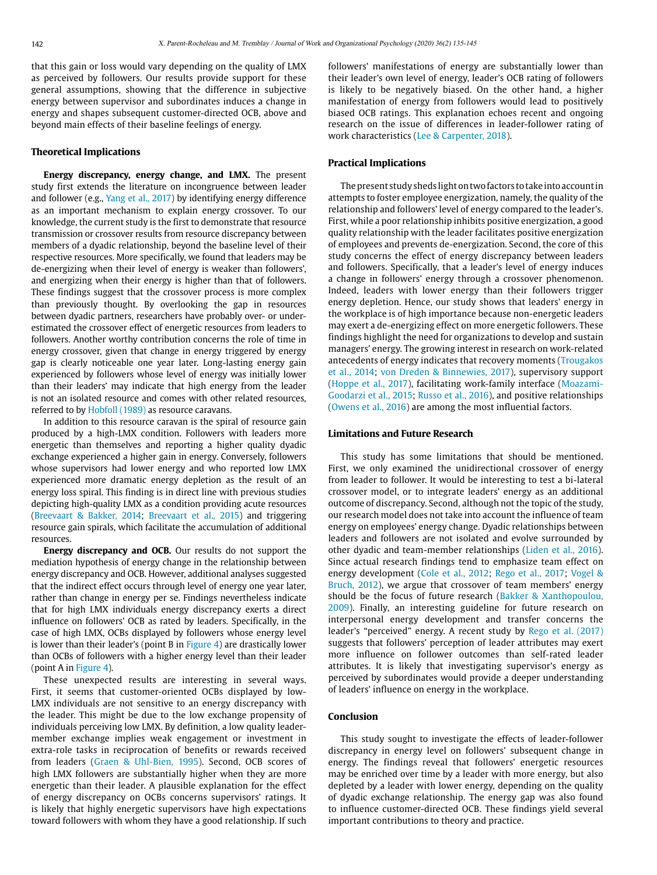that this gain or loss would vary depending on the quality of LMX as perceived by followers. Our results provide support for these general assumptions, showing that the difference in subjective energy between supervisor and subordinates induces a change in energy and shapes subsequent customer-directed OCB, above and beyond main effects of their baseline feelings of energy.

# **Theoretical Implications**

**Energy discrepancy, energy change, and LMX.** The present study first extends the literature on incongruence between leader and follower (e.g., Yang et al., 2017) by identifying energy difference as an important mechanism to explain energy crossover. To our knowledge, the current study is the first to demonstrate that resource transmission or crossover results from resource discrepancy between members of a dyadic relationship, beyond the baseline level of their respective resources. More specifically, we found that leaders may be de-energizing when their level of energy is weaker than followers', and energizing when their energy is higher than that of followers. These findings suggest that the crossover process is more complex than previously thought. By overlooking the gap in resources between dyadic partners, researchers have probably over- or underestimated the crossover effect of energetic resources from leaders to followers. Another worthy contribution concerns the role of time in energy crossover, given that change in energy triggered by energy gap is clearly noticeable one year later. Long-lasting energy gain experienced by followers whose level of energy was initially lower than their leaders' may indicate that high energy from the leader is not an isolated resource and comes with other related resources, referred to by Hobfoll (1989) as resource caravans.

In addition to this resource caravan is the spiral of resource gain produced by a high-LMX condition. Followers with leaders more energetic than themselves and reporting a higher quality dyadic exchange experienced a higher gain in energy. Conversely, followers whose supervisors had lower energy and who reported low LMX experienced more dramatic energy depletion as the result of an energy loss spiral. This finding is in direct line with previous studies depicting high-quality LMX as a condition providing acute resources (Breevaart & Bakker, 2014; Breevaart et al., 2015) and triggering resource gain spirals, which facilitate the accumulation of additional resources.

**Energy discrepancy and OCB.** Our results do not support the mediation hypothesis of energy change in the relationship between energy discrepancy and OCB. However, additional analyses suggested that the indirect effect occurs through level of energy one year later, rather than change in energy per se. Findings nevertheless indicate that for high LMX individuals energy discrepancy exerts a direct influence on followers' OCB as rated by leaders. Specifically, in the case of high LMX, OCBs displayed by followers whose energy level is lower than their leader's (point B in  $Figure 4$ ) are drastically lower than OCBs of followers with a higher energy level than their leader (point A in Figure 4).

These unexpected results are interesting in several ways. First, it seems that customer-oriented OCBs displayed by low-LMX individuals are not sensitive to an energy discrepancy with the leader. This might be due to the low exchange propensity of individuals perceiving low LMX. By definition, a low quality leadermember exchange implies weak engagement or investment in extra-role tasks in reciprocation of benefits or rewards received from leaders (Graen & Uhl-Bien, 1995). Second, OCB scores of high LMX followers are substantially higher when they are more energetic than their leader. A plausible explanation for the effect of energy discrepancy on OCBs concerns supervisors' ratings. It is likely that highly energetic supervisors have high expectations toward followers with whom they have a good relationship. If such followers' manifestations of energy are substantially lower than their leader's own level of energy, leader's OCB rating of followers is likely to be negatively biased. On the other hand, a higher manifestation of energy from followers would lead to positively biased OCB ratings. This explanation echoes recent and ongoing research on the issue of differences in leader-follower rating of work characteristics (Lee & Carpenter, 2018).

#### **Practical Implications**

The present study sheds light on two factors to take into account in attempts to foster employee energization, namely, the quality of the relationship and followers' level of energy compared to the leader's. First, while a poor relationship inhibits positive energization, a good quality relationship with the leader facilitates positive energization of employees and prevents de-energization. Second, the core of this study concerns the effect of energy discrepancy between leaders and followers. Specifically, that a leader's level of energy induces a change in followers' energy through a crossover phenomenon. Indeed, leaders with lower energy than their followers trigger energy depletion. Hence, our study shows that leaders' energy in the workplace is of high importance because non-energetic leaders may exert a de-energizing effect on more energetic followers. These findings highlight the need for organizations to develop and sustain managers' energy. The growing interest in research on work-related antecedents of energy indicates that recovery moments (Trougakos et al., 2014; von Dreden & Binnewies, 2017), supervisory support (Hoppe et al., 2017), facilitating work-family interface (Moazami-Goodarzi et al., 2015; Russo et al., 2016), and positive relationships (Owens et al., 2016) are among the most influential factors.

#### **Limitations and Future Research**

This study has some limitations that should be mentioned. First, we only examined the unidirectional crossover of energy from leader to follower. It would be interesting to test a bi-lateral crossover model, or to integrate leaders' energy as an additional outcome of discrepancy. Second, although not the topic of the study, our research model does not take into account the influence of team energy on employees' energy change. Dyadic relationships between leaders and followers are not isolated and evolve surrounded by other dyadic and team-member relationships (Liden et al., 2016). Since actual research findings tend to emphasize team effect on energy development (Cole et al., 2012; Rego et al., 2017; Vogel & Bruch, 2012), we argue that crossover of team members' energy should be the focus of future research (Bakker & Xanthopoulou, 2009). Finally, an interesting guideline for future research on interpersonal energy development and transfer concerns the leader's "perceived" energy. A recent study by Rego et al. (2017) suggests that followers' perception of leader attributes may exert more influence on follower outcomes than self-rated leader attributes. It is likely that investigating supervisor's energy as perceived by subordinates would provide a deeper understanding of leaders' influence on energy in the workplace.

#### **Conclusion**

This study sought to investigate the effects of leader-follower discrepancy in energy level on followers' subsequent change in energy. The findings reveal that followers' energetic resources may be enriched over time by a leader with more energy, but also depleted by a leader with lower energy, depending on the quality of dyadic exchange relationship. The energy gap was also found to influence customer-directed OCB. These findings yield several important contributions to theory and practice.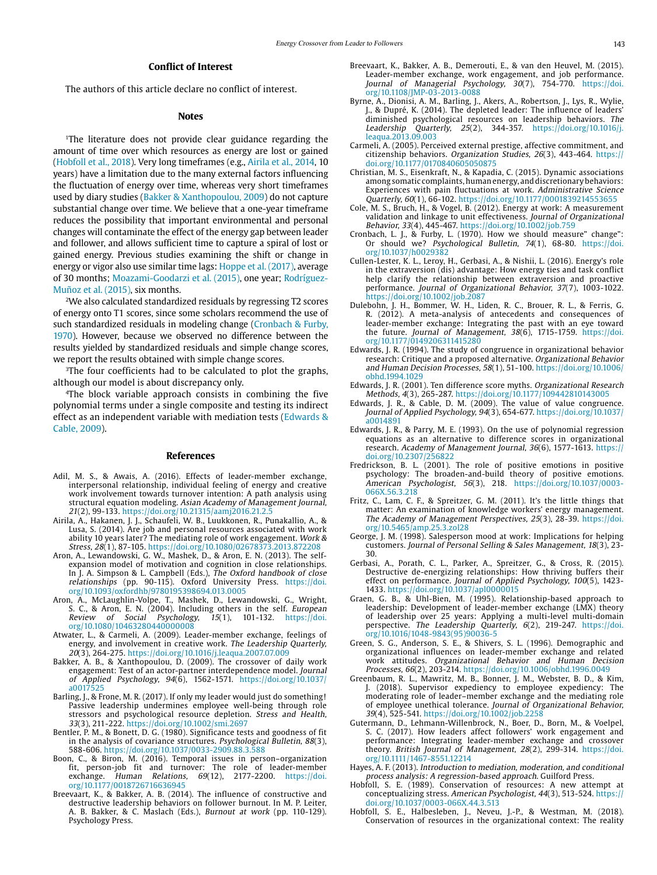### **Conflict of Interest**

The authors of this article declare no conflict of interest.

#### **Notes**

<sup>1</sup>The literature does not provide clear guidance regarding the amount of time over which resources as energy are lost or gained (Hobfoll et al., 2018). Very long timeframes (e.g., Airila et al., 2014, 10 years) have a limitation due to the many external factors influencing the fluctuation of energy over time, whereas very short timeframes used by diary studies (Bakker & Xanthopoulou, 2009) do not capture substantial change over time. We believe that a one-year timeframe reduces the possibility that important environmental and personal changes will contaminate the effect of the energy gap between leader and follower, and allows sufficient time to capture a spiral of lost or gained energy. Previous studies examining the shift or change in energy or vigor also use similar time lags: Hoppe et al. (2017), average of 30 months; Moazami-Goodarzi et al. (2015), one year; Rodríguez-Muñoz et al. (2015), six months.

2We also calculated standardized residuals by regressing T2 scores of energy onto T1 scores, since some scholars recommend the use of such standardized residuals in modeling change (Cronbach & Furby, 1970). However, because we observed no difference between the results yielded by standardized residuals and simple change scores, we report the results obtained with simple change scores.

<sup>3</sup>The four coefficients had to be calculated to plot the graphs, although our model is about discrepancy only.

4The block variable approach consists in combining the five polynomial terms under a single composite and testing its indirect effect as an independent variable with mediation tests (Edwards & Cable, 2009).

#### **References**

- Adil, M. S., & Awais, A. (2016). Effects of leader-member exchange, interpersonal relationship, individual feeling of energy and creative work involvement towards turnover intention: A path analysis using structural equation modeling. Asian Academy of Management Journal, 21(2), 99-133. https://doi.org/10.21315/aamj2016.21.2.5
- Airila, A., Hakanen, J. J., Schaufeli, W. B., Luukkonen, R., Punakallio, A., & Lusa, S. (2014). Are job and personal resources associated with work ability 10 years later? The mediating role of work engagement. Work & Stress, 28(1), 87-105. https://doi.org/10.1080/02678373.2013.872208
- Aron, A., Lewandowski, G. W., Mashek, D., & Aron, E. N. (2013). The selfexpansion model of motivation and cognition in close relationships. In J. A. Simpson & L. Campbell (Eds.), The Oxford handbook of close relationships (pp. 90-115). Oxford University Press. [https://doi.](https://doi.org/10.1093/oxfordhb/9780195398694.013.0005) [org/10.1093/oxfordhb/9780195398694.013.0005](https://doi.org/10.1093/oxfordhb/9780195398694.013.0005)
- Aron, A., McLaughlin-Volpe, T., Mashek, D., Lewandowski, G., Wright, S. C., & Aron, E. N. (2004). Including others in the self. *European* Review of Social Psychology,  $15(1)$ ,  $101-132$ . https://doi. Review of Social Psychology, [org/10.1080/10463280440000008](https://doi.org/10.1080/10463280440000008)
- Atwater, L., & Carmeli, A. (2009). Leader-member exchange, feelings of energy, and involvement in creative work. The Leadership Quarterly, 20(3), 264-275. https://doi.org/10.1016/j.leaqua.2007.07.009
- Bakker, A. B., & Xanthopoulou, D. (2009). The crossover of daily work engagement: Test of an actor-partner interdependence model. Journal of Applied Psychology, 94(6), 1562-1571. [https://doi.org/10.1037/](https://doi.org/10.1037/a0017525)  $a0017$
- Barling, J., & Frone, M. R. (2017). If only my leader would just do something! Passive leadership undermines employee well-being through role stressors and psychological resource depletion. Stress and Health, 33(3), 211-222. https://doi.org/10.1002/smi.2697
- Bentler, P. M., & Bonett, D. G. (1980). Significance tests and goodness of fit in the analysis of covariance structures. Psychological Bulletin, 88(3), 588-606. https://doi.org/10.1037/0033-2909.88.3.588
- Boon, C., & Biron, M. (2016). Temporal issues in person–organization fit, person-job fit and turnover: The role of leader-member exchange. Human Relations, 69(12), 2177-2200. [https://doi.](https://doi.org/10.1177/0018726716636945) [org/10.1177/0018726716636945](https://doi.org/10.1177/0018726716636945)
- Breevaart, K., & Bakker, A. B. (2014). The influence of constructive and destructive leadership behaviors on follower burnout. In M. P. Leiter, A. B. Bakker, & C. Maslach (Eds.), Burnout at work (pp. 110-129). Psychology Press.
- Breevaart, K., Bakker, A. B., Demerouti, E., & van den Heuvel, M. (2015). Leader-member exchange, work engagement, and job performance. Journal of Managerial Psychology, 30(7), 754-770. [https://doi.](https://doi.org/10.1108/JMP-03-2013-0088) [org/10.1108/JMP-03-2013-0088](https://doi.org/10.1108/JMP-03-2013-0088)
- Byrne, A., Dionisi, A. M., Barling, J., Akers, A., Robertson, J., Lys, R., Wylie, J., & Dupré, K. (2014). The depleted leader: The influence of leaders' diminished psychological resources on leadership behaviors. The Leadership Quarterly,  $25(2)$ ,  $344-357$ . https://doi.org/10.1016/j. Quarterly, 25(2), 344-357. [https://doi.org/10.1016/j.](https://doi.org/10.1016/j.leaqua.2013.09.003) [leaqua.2013.09.003](https://doi.org/10.1016/j.leaqua.2013.09.003)
- Carmeli, A. (2005). Perceived external prestige, affective commitment, and citizenship behaviors. Organization Studies, 26(3), 443-464. https:// doi.org/10.1177/0170840605050875
- Christian, M. S., Eisenkraft, N., & Kapadia, C. (2015). Dynamic associations among somatic complaints, human energy, and discretionary behaviors: Experiences with pain fluctuations at work. Administrative Science Quarterly, 60(1), 66-102. https://doi.org/10.1177/0001839214553655
- Cole, M. S., Bruch, H., & Vogel, B. (2012). Energy at work: A measurement validation and linkage to unit effectiveness. Journal of Organizational Behavior, 33(4), 445-467. https://doi.org/10.1002/job.759
- Cronbach, L. J., & Furby, L. (1970). How we should measure" change": Or should we? Psychological Bulletin, 74(1), 68-80. [https://doi.](https://doi.org/10.1037/h0029382) [org/10.1037/h0029382](https://doi.org/10.1037/h0029382)
- Cullen-Lester, K. L., Leroy, H., Gerbasi, A., & Nishii, L. (2016). Energy's role in the extraversion (dis) advantage: How energy ties and task conflict help clarify the relationship between extraversion and proactive performance. Journal of Organizational Behavior, 37(7), 1003-1022. https://doi.org/10.1002/job.2087
- Dulebohn, J. H., Bommer, W. H., Liden, R. C., Brouer, R. L., & Ferris, G. R. (2012). A meta-analysis of antecedents and consequences of leader-member exchange: Integrating the past with an eye toward the future. Journal of Management, 38(6), 1715-1759. [https://doi.](https://doi.org/10.1177/0149206311415280) [org/10.1177/0149206311415280](https://doi.org/10.1177/0149206311415280)
- Edwards, J. R. (1994). The study of congruence in organizational behavior research: Critique and a proposed alternative. Organizational Behavior and Human Decision Processes, 58(1), 51-100. [https://doi.org/10.1006/](https://doi.org/10.1006/obhd.1994.1029) [obhd.1994.1029](https://doi.org/10.1006/obhd.1994.1029)
- Edwards, J. R. (2001). Ten difference score myths. Organizational Research Methods, 4(3), 265-287. https://doi.org/10.1177/109442810143005
- Edwards, J. R., & Cable, D. M. (2009). The value of value congruence. Journal of Applied Psychology, 94(3), 654-677. [https://doi.org/10.1037/](https://doi.org/10.1037/a0014891) [a0014891](https://doi.org/10.1037/a0014891)
- Edwards, J. R., & Parry, M. E. (1993). On the use of polynomial regression equations as an alternative to difference scores in organizational research. Academy of Management Journal, 36(6), 1577-1613. https:// doi.org/10.2307/256822
- Fredrickson, B. L. (2001). The role of positive emotions in positive psychology: The broaden-and-build theory of positive emotions. American Psychologist, 56(3), 218. https://doi.org/10.1037/0003- 066X.56.3.218
- Fritz, C., Lam, C. F., & Spreitzer, G. M. (2011). It's the little things that matter: An examination of knowledge workers' energy management. The Academy of Management Perspectives, 25(3), 28-39. [https://doi.](https://doi.org/10.5465/amp.25.3.zol28) [org/10.5465/amp.25.3.zol28](https://doi.org/10.5465/amp.25.3.zol28)
- George, J. M. (1998). Salesperson mood at work: Implications for helping customers. Journal of Personal Selling & Sales Management, 18(3), 23- 30.
- Gerbasi, A., Porath, C. L., Parker, A., Spreitzer, G., & Cross, R. (2015). Destructive de-energizing relationships: How thriving buffers their effect on performance. Journal of Applied Psychology, 100(5), 1423-1433. https://doi.org/10.1037/apl0000015
- Graen, G. B., & Uhl-Bien, M. (1995). Relationship-based approach to leadership: Development of leader-member exchange (LMX) theory of leadership over 25 years: Applying a multi-level multi-domain perspective. The Leadership Quarterly, 6(2), 219-247. [https://doi.](https://doi.org/10.1016/1048-9843(95)90036-5) [org/10.1016/1048-9843\(95\)90036-5](https://doi.org/10.1016/1048-9843(95)90036-5)
- Green, S. G., Anderson, S. E., & Shivers, S. L. (1996). Demographic and organizational influences on leader-member exchange and related work attitudes. Organizational Behavior and Human Decision Processes, 66(2), 203-214. https://doi.org/10.1006/obhd.1996.0049
- Greenbaum, R. L., Mawritz, M. B., Bonner, J. M., Webster, B. D., & Kim, J. (2018). Supervisor expediency to employee expediency: The moderating role of leader–member exchange and the mediating role of employee unethical tolerance. Journal of Organizational Behavior, 39(4), 525-541. https://doi.org/10.1002/job.2258
- Gutermann, D., Lehmann-Willenbrock, N., Boer, D., Born, M., & Voelpel, S. C. (2017). How leaders affect followers' work engagement and performance: Integrating leader-member exchange and crossover theory. British Journal of Management, 28(2), 299-314. [https://doi.](https://doi.org/10.1111/1467-8551.12214) [org/10.1111/1467-8551.12214](https://doi.org/10.1111/1467-8551.12214)
- Hayes, A. F. (2013). Introduction to mediation, moderation, and conditional process analysis: A regression-based approach. Guilford Press.
- Hobfoll, S. E. (1989). Conservation of resources: A new attempt at conceptualizing stress. American Psychologist, 44(3), 513-524. https:// doi.org/10.1037/0003-066X.44.3.513
- Hobfoll, S. E., Halbesleben, J., Neveu, J.-P., & Westman, M. (2018). Conservation of resources in the organizational context: The reality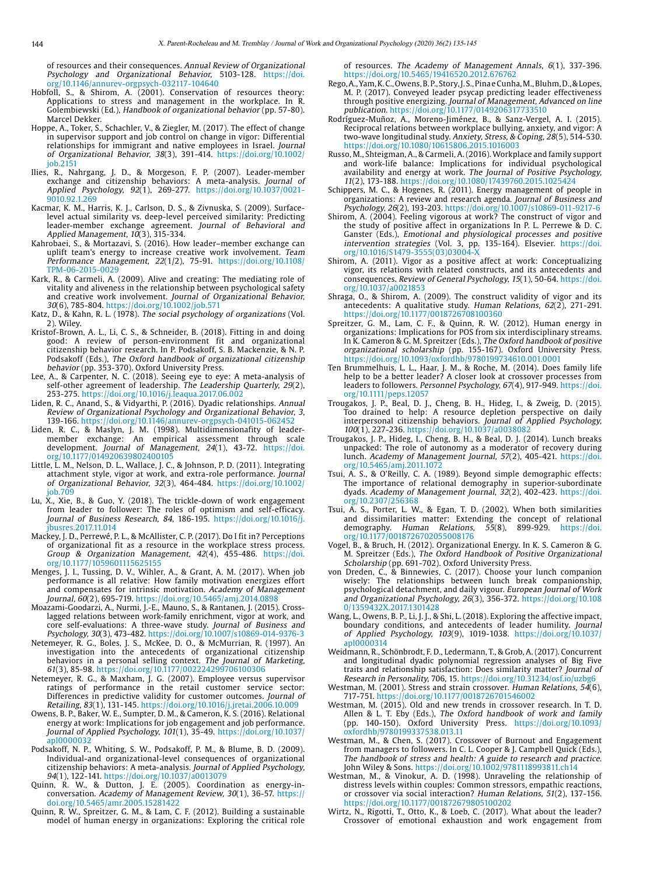of resources and their consequences. Annual Review of Organizational Psychology and Organizational Behavior, 5103-128. [https://doi.](https://doi.org/10.1146/annurev-orgpsych-032117-104640) [org/10.1146/annurev-orgpsych-032117-104640](https://doi.org/10.1146/annurev-orgpsych-032117-104640)

- Hobfoll, S., & Shirom, A. (2001). Conservation of resources theory: Applications to stress and management in the workplace. In R. Golembiewski (Ed.), Handbook of organizational behavior (pp. 57-80). Marcel Dekker.
- Hoppe, A., Toker, S., Schachler, V., & Ziegler, M. (2017). The effect of change in supervisor support and job control on change in vigor: Differential relationships for immigrant and native employees in Israel. Journal of Organizational Behavior, 38(3), 391-414. [https://doi.org/10.1002/](https://doi.org/10.1002/job.2151) [job.2151](https://doi.org/10.1002/job.2151)
- Ilies, R., Nahrgang, J. D., & Morgeson, F. P. (2007). Leader-member exchange and citizenship behaviors: A meta-analysis. Journal of Applied Psychology, 92(1), 269-277. https://doi.org/10.1037/0021- 9010.92.1.26
- Kacmar, K. M., Harris, K. J., Carlson, D. S., & Zivnuska, S. (2009). Surfacelevel actual similarity vs. deep-level perceived similarity: Predicting leader-member exchange agreement. Journal of Behavioral and Applied Management, 10(3), 315-334.
- Kahrobaei, S., & Mortazavi, S. (2016). How leader–member exchange can uplift team's energy to increase creative work involvement. Team Performance Management, 22(1/2), 75-91. [https://doi.org/10.1108/](https://doi.org/10.1108/TPM-06-2015-0029) [TPM-06-2015-0029](https://doi.org/10.1108/TPM-06-2015-0029)
- Kark, R., & Carmeli, A. (2009). Alive and creating: The mediating role of vitality and aliveness in the relationship between psychological safety and creative work involvement. Journal of Organizational Behavior, 30(6), 785-804. https://doi.org/10.1002/job.571
- Katz, D., & Kahn, R. L. (1978). The social psychology of organizations (Vol. 2). Wiley.
- Kristof-Brown, A. L., Li, C. S., & Schneider, B. (2018). Fitting in and doing good: A review of person-environment fit and organizational citizenship behavior research. In P. Podsakoff, S. B. Mackenzie, & N. P. Podsakoff (Eds.), The Oxford handbook of organizational citizenship behavior (pp. 353-370). Oxford University Press.
- Lee, A., & Carpenter, N. C. (2018). Seeing eye to eye: A meta-analysis of self-other agreement of leadership. The Leadership Quarterly, 29(2), 253-275. https://doi.org/10.1016/j.leaqua.2017.06.002
- Liden, R. C., Anand, S., & Vidyarthi, P. (2016). Dyadic relationships. Annual Review of Organizational Psychology and Organizational Behavior, 3, 139-166. https://doi.org/10.1146/annurev-orgpsych-041015-062452
- Liden, R. C., & Maslyn, J. M. (1998). Multidimensionafity of leadermember exchange: An empirical assessment through scale development. Journal of Management, 24(1), 43-72. [https://doi.](https://doi.org/10.1177/014920639802400105) [org/10.1177/014920639802400105](https://doi.org/10.1177/014920639802400105)
- Little, L. M., Nelson, D. L., Wallace, J. C., & Johnson, P. D. (2011). Integrating attachment style, vigor at work, and extra-role performance. Journal of Organizational Behavior, 32(3), 464-484. [https://doi.org/10.1002/](https://doi.org/10.1002/job.709) [job.709](https://doi.org/10.1002/job.709)
- Lu, X., Xie, B., & Guo, Y. (2018). The trickle-down of work engagement from leader to follower: The roles of optimism and self-efficacy. Journal of Business Research, 84, 186-195. [https://doi.org/10.1016/j.](https://doi.org/10.1016/j.jbusres.2017.11.014) [jbusres.2017.11.014](https://doi.org/10.1016/j.jbusres.2017.11.014)
- Mackey, J. D., Perrewé, P. L., & McAllister, C. P. (2017). Do I fit in? Perceptions of organizational fit as a resource in the workplace stress process. Group & Organization Management, 42(4), 455-486. [https://doi.](https://doi.org/10.1177/1059601115625155) [org/10.1177/1059601115625155](https://doi.org/10.1177/1059601115625155)
- Menges, J. I., Tussing, D. V., Wihler, A., & Grant, A. M. (2017). When job performance is all relative: How family motivation energizes effort and compensates for intrinsic motivation. Academy of Management Journal, 60(2), 695-719. https://doi.org/10.5465/amj.2014.0898
- Moazami-Goodarzi, A., Nurmi, J.-E., Mauno, S., & Rantanen, J. (2015). Crosslagged relations between work-family enrichment, vigor at work, and core self-evaluations: A three-wave study. Journal of Business and Psychology, 30(3), 473-482. https://doi.org/10.1007/s10869-014-9376-3
- Netemeyer, R. G., Boles, J. S., McKee, D. O., & McMurrian, R. (1997). An investigation into the antecedents of organizational citizenship behaviors in a personal selling context. The Journal of Marketing, 61(3), 85-98. https://doi.org/10.1177/002224299706100306
- Netemeyer, R. G., & Maxham, J. G. (2007). Employee versus supervisor ratings of performance in the retail customer service sector: Differences in predictive validity for customer outcomes. Journal of Retailing, 83(1), 131-145. https://doi.org/10.1016/j.jretai.2006.10.009
- Owens, B. P., Baker, W. E., Sumpter, D. M., & Cameron, K. S. (2016). Relational energy at work: Implications for job engagement and job performance. Journal of Applied Psychology, 101(1), 35-49. [https://doi.org/10.1037/](https://doi.org/10.1037/apl0000032) [apl0000032](https://doi.org/10.1037/apl0000032)
- Podsakoff, N. P., Whiting, S. W., Podsakoff, P. M., & Blume, B. D. (2009). Individual-and organizational-level consequences of organizational citizenship behaviors: A meta-analysis. Journal of Applied Psychology, 94(1), 122-141. https://doi.org/10.1037/a0013079
- Quinn, R. W., & Dutton, J. E. (2005). Coordination as energy-inconversation. Academy of Management Review, 30(1), 36-57. https:// doi.org/10.5465/amr.2005.15281422

Quinn, R. W., Spreitzer, G. M., & Lam, C. F. (2012). Building a sustainable model of human energy in organizations: Exploring the critical role

of resources. The Academy of Management Annals, 6(1), 337-396. https://doi.org/10.5465/19416520.2012.676762

- Rego, A., Yam, K. C., Owens, B. P., Story, J. S., Pina e Cunha, M., Bluhm, D., & Lopes, M. P. (2017). Conveyed leader psycap predicting leader effectiveness through positive energizing. Journal of Management, Advanced on line publication. https://doi.org/10.1177/0149206317733510
- Rodríguez-Muñoz, A., Moreno-Jiménez, B., & Sanz-Vergel, A. I. (2015). Reciprocal relations between workplace bullying, anxiety, and vigor: A two-wave longitudinal study. Anxiety, Stress, & Coping, 28(5), 514-530. https://doi.org/10.1080/10615806.2015.1016003
- Russo, M., Shteigman, A., & Carmeli, A. (2016). Workplace and family support and work-life balance: Implications for individual psychological availability and energy at work. The Journal of Positive Psychology, 11(2), 173-188. https://doi.org/10.1080/17439760.2015.1025424
- Schippers, M. C., & Hogenes, R. (2011). Energy management of people in organizations: A review and research agenda. Journal of Business and Psychology, 26(2), 193-203. https://doi.org/10.1007/s10869-011-9217-6
- Shirom, A. (2004). Feeling vigorous at work? The construct of vigor and the study of positive affect in organizations In P. L. Perrewe & D. C. Ganster (Eds.), Emotional and physiological processes and positive intervention strategies (Vol. 3, pp. 135-164). Elsevier. [https://doi.](https://doi.org/10.1016/S1479-3555(03)03004-X) [org/10.1016/S1479-3555\(03\)03004-X](https://doi.org/10.1016/S1479-3555(03)03004-X)
- Shirom, A. (2011). Vigor as a positive affect at work: Conceptualizing vigor, its relations with related constructs, and its antecedents and consequences. Review of General Psychology, 15(1), 50-64. [https://doi.](https://doi.org/10.1037/a0021853) [org/10.1037/a0021853](https://doi.org/10.1037/a0021853)
- Shraga, O., & Shirom, A. (2009). The construct validity of vigor and its antecedents: A qualitative study. Human Relations, 62(2), 271-291. https://doi.org/10.1177/0018726708100360
- Spreitzer, G. M., Lam, C. F., & Quinn, R. W. (2012). Human energy in organizations: Implications for POS from six interdisciplinary streams. In K. Cameron & G. M. Spreitzer (Eds.), The Oxford handbook of positive organizational scholarship (pp. 155-167). Oxford University Press. https://doi.org/10.1093/oxfordhb/9780199734610.001.0001
- Ten Brummelhuis, L. L., Haar, J. M., & Roche, M. (2014). Does family life help to be a better leader? A closer look at crossover processes from leaders to followers. Personnel Psychology, 67(4), 917-949. [https://doi.](https://doi.org/10.1111/peps.12057) [org/10.1111/peps.12057](https://doi.org/10.1111/peps.12057)
- Trougakos, J. P., Beal, D. J., Cheng, B. H., Hideg, I., & Zweig, D. (2015). Too drained to help: A resource depletion perspective on daily interpersonal citizenship behaviors. Journal of Applied Psychology, 100(1), 227-236. https://doi.org/10.1037/a0038082
- Trougakos, J. P., Hideg, I., Cheng, B. H., & Beal, D. J. (2014). Lunch breaks unpacked: The role of autonomy as a moderator of recovery during lunch. Academy of Management Journal, 57(2), 405-421. [https://doi.](https://doi.org/10.5465/amj.2011.1072) [org/10.5465/amj.2011.1072](https://doi.org/10.5465/amj.2011.1072)
- Tsui, A. S., & O'Reilly, C. A. (1989). Beyond simple demographic effects: The importance of relational demography in superior-subordinate dyads. Academy of Management Journal, 32(2), 402-423. [https://doi.](https://doi.org/10.2307/256368) [org/10.2307/256368](https://doi.org/10.2307/256368)
- Tsui, A. S., Porter, L. W., & Egan, T. D. (2002). When both similarities and dissimilarities matter: Extending the concept of relational demography. Human Relations, 55(8), 899-929. [https://doi.](https://doi.org/10.1177/0018726702055008176) [org/10.1177/0018726702055008176](https://doi.org/10.1177/0018726702055008176)
- Vogel, B., & Bruch, H. (2012). Organizational Energy. In K. S. Cameron & G. M. Spreitzer (Eds.), The Oxford Handbook of Positive Organizational Scholarship (pp. 691-702). Oxford University Press.
- von Dreden, C., & Binnewies, C. (2017). Choose your lunch companion wisely: The relationships between lunch break companionship, psychological detachment, and daily vigour. European Journal of Work and Organizational Psychology, 26(3), 356-372. [https://doi.org/10.108](https://doi.org/10.1080/1359432X.2017.1301428) [0/1359432X.2017.1301428](https://doi.org/10.1080/1359432X.2017.1301428)
- Wang, L., Owens, B. P., Li, J. J., & Shi, L. (2018). Exploring the affective impact, boundary conditions, and antecedents of leader humility. Journal of Applied Psychology, 103(9), 1019-1038. [https://doi.org/10.1037/](https://doi.org/10.1037/apl0000314) [apl0000314](https://doi.org/10.1037/apl0000314)
- Weidmann, R., Schönbrodt, F. D., Ledermann, T., & Grob, A. (2017). Concurrent and longitudinal dyadic polynomial regression analyses of Big Five traits and relationship satisfaction: Does similarity matter? Journal of Research in Personality, 706, 15. https://doi.org/10.31234/osf.io/uzbg6
- Westman, M. (2001). Stress and strain crossover. Human Relations, 54(6), 717-751. https://doi.org/10.1177/0018726701546002
- Westman, M. (2015). Old and new trends in crossover research. In T. D. Allen & L. T. Eby (Eds.), The Oxford handbook of work and family (pp. 140-150). Oxford University Press. [https://doi.org/10.1093/](https://doi.org/10.1093/oxfordhb/9780199337538.013.11) [oxfordhb/9780199337538.013.11](https://doi.org/10.1093/oxfordhb/9780199337538.013.11)
- Westman, M., & Chen, S. (2017). Crossover of Burnout and Engagement from managers to followers. In C. L. Cooper & J. Campbell Quick (Eds.), The handbook of stress and health: A guide to research and practice. John Wiley & Sons. https://doi.org/10.1002/9781118993811.ch14
- Westman, M., & Vinokur, A. D. (1998). Unraveling the relationship of distress levels within couples: Common stressors, empathic reactions, or crossover via social interaction? Human Relations, 51(2), 137-156. https://doi.org/10.1177/001872679805100202
- Wirtz, N., Rigotti, T., Otto, K., & Loeb, C. (2017). What about the leader? Crossover of emotional exhaustion and work engagement from